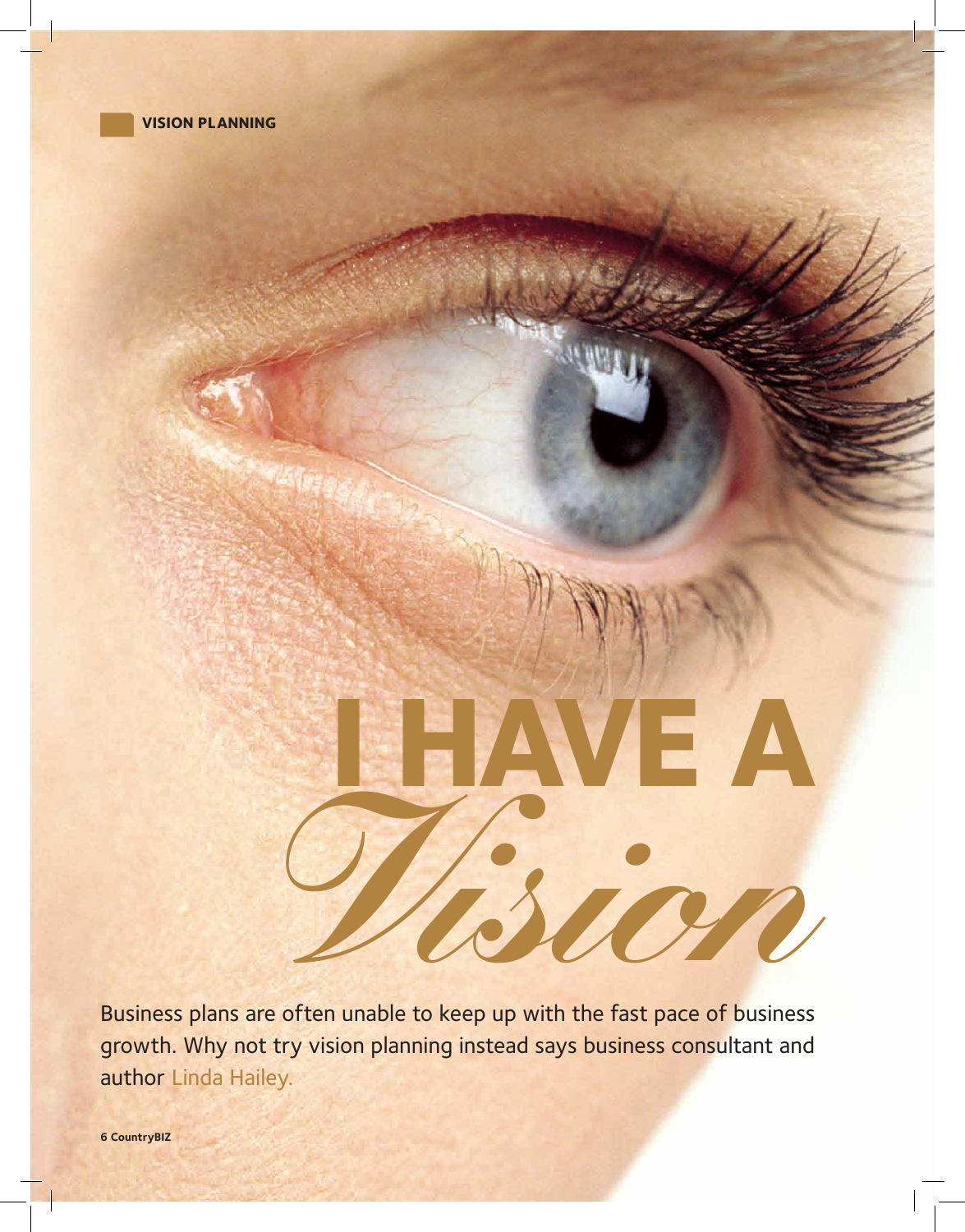

## **I HAVE A** *Vision*

Business plans are often unable to keep up with the fast pace of business growth. Why not try vision planning instead says business consultant and author Linda Hailey.

 **CountryBIZ**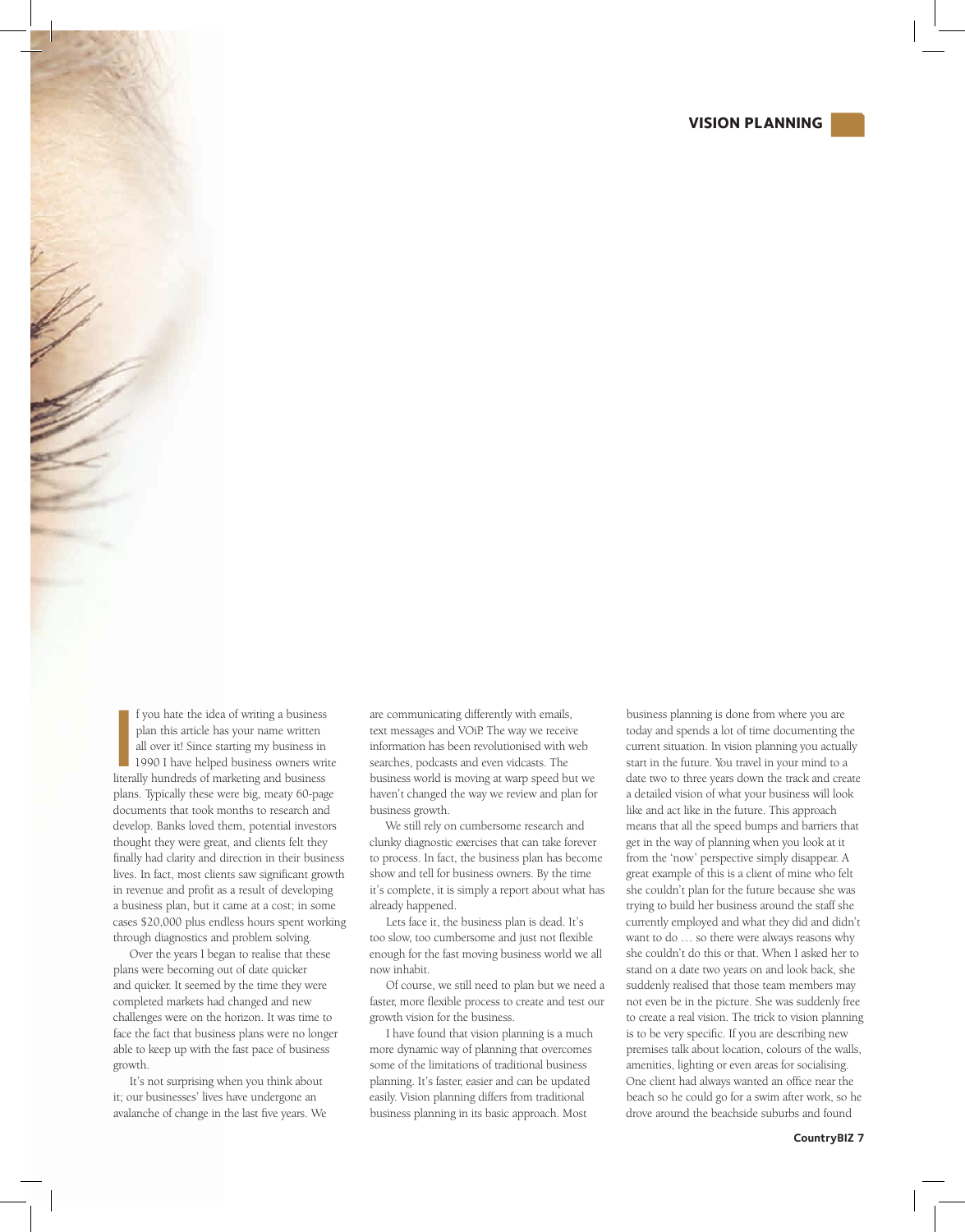## **VISION PLANNING**



I you hate the idea of writing a business<br>plan this article has your name written<br>all over it! Since starting my business in<br>1990 I have helped business owners wri<br>literally hundreds of marketing and business f you hate the idea of writing a business plan this article has your name written all over it! Since starting my business in 1990 I have helped business owners write plans. Typically these were big, meaty 60-page documents that took months to research and develop. Banks loved them, potential investors thought they were great, and clients felt they finally had clarity and direction in their business lives. In fact, most clients saw significant growth in revenue and profit as a result of developing a business plan, but it came at a cost; in some cases \$20,000 plus endless hours spent working through diagnostics and problem solving.

Over the years I began to realise that these plans were becoming out of date quicker and quicker. It seemed by the time they were completed markets had changed and new challenges were on the horizon. It was time to face the fact that business plans were no longer able to keep up with the fast pace of business growth.

It's not surprising when you think about it; our businesses' lives have undergone an avalanche of change in the last five years. We

are communicating differently with emails, text messages and VOiP. The way we receive information has been revolutionised with web searches, podcasts and even vidcasts. The business world is moving at warp speed but we haven't changed the way we review and plan for business growth.

We still rely on cumbersome research and clunky diagnostic exercises that can take forever to process. In fact, the business plan has become show and tell for business owners. By the time it's complete, it is simply a report about what has already happened.

Lets face it, the business plan is dead. It's too slow, too cumbersome and just not flexible enough for the fast moving business world we all now inhabit.

Of course, we still need to plan but we need a faster, more flexible process to create and test our growth vision for the business.

I have found that vision planning is a much more dynamic way of planning that overcomes some of the limitations of traditional business planning. It's faster, easier and can be updated easily. Vision planning differs from traditional business planning in its basic approach. Most

business planning is done from where you are today and spends a lot of time documenting the current situation. In vision planning you actually start in the future. You travel in your mind to a date two to three years down the track and create a detailed vision of what your business will look like and act like in the future. This approach means that all the speed bumps and barriers that get in the way of planning when you look at it from the 'now' perspective simply disappear. A great example of this is a client of mine who felt she couldn't plan for the future because she was trying to build her business around the staff she currently employed and what they did and didn't want to do … so there were always reasons why she couldn't do this or that. When I asked her to stand on a date two years on and look back, she suddenly realised that those team members may not even be in the picture. She was suddenly free to create a real vision. The trick to vision planning is to be very specific. If you are describing new premises talk about location, colours of the walls, amenities, lighting or even areas for socialising. One client had always wanted an office near the beach so he could go for a swim after work, so he drove around the beachside suburbs and found